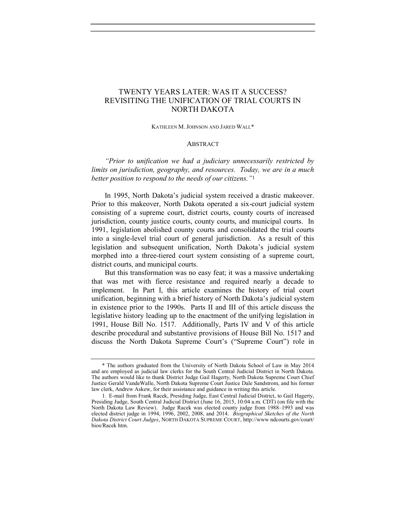# TWENTY YEARS LATER: WAS IT A SUCCESS? REVISITING THE UNIFICATION OF TRIAL COURTS IN NORTH DAKOTA

KATHLEEN M. JOHNSON AND JARED WALL\*

#### **ABSTRACT**

"Prior to unification we had a judiciary unnecessarily restricted by limits on jurisdiction, geography, and resources. Today, we are in a much better position to respond to the needs of our citizens."<sup>1</sup>

In 1995, North Dakota's judicial system received a drastic makeover. Prior to this makeover, North Dakota operated a six-court judicial system consisting of a supreme court, district courts, county courts of increased jurisdiction, county justice courts, county courts, and municipal courts. In 1991, legislation abolished county courts and consolidated the trial courts into a single-level trial court of general jurisdiction. As a result of this legislation and subsequent unification, North Dakota's judicial system morphed into a three-tiered court system consisting of a supreme court, district courts, and municipal courts.

But this transformation was no easy feat; it was a massive undertaking that was met with fierce resistance and required nearly a decade to implement. In Part I, this article examines the history of trial court unification, beginning with a brief history of North Dakota's judicial system in existence prior to the 1990s. Parts II and III of this article discuss the legislative history leading up to the enactment of the unifying legislation in 1991, House Bill No. 1517. Additionally, Parts IV and V of this article describe procedural and substantive provisions of House Bill No. 1517 and discuss the North Dakota Supreme Court's ("Supreme Court") role in

 <sup>\*</sup> The authors graduated from the University of North Dakota School of Law in May 2014 and are employed as judicial law clerks for the South Central Judicial District in North Dakota. The authors would like to thank District Judge Gail Hagerty, North Dakota Supreme Court Chief Justice Gerald VandeWalle, North Dakota Supreme Court Justice Dale Sandstrom, and his former law clerk, Andrew Askew, for their assistance and guidance in writing this article.

<sup>1.</sup> E-mail from Frank Racek, Presiding Judge, East Central Judicial District, to Gail Hagerty, Presiding Judge, South Central Judicial District (June 16, 2015, 10:04 a.m. CDT) (on file with the North Dakota Law Review). Judge Racek was elected county judge from 1988–1993 and was elected district judge in 1994, 1996, 2002, 2008, and 2014. Biographical Sketches of the North Dakota District Court Judges, NORTH DAKOTA SUPREME COURT, http://www ndcourts.gov/court/ bios/Racek htm.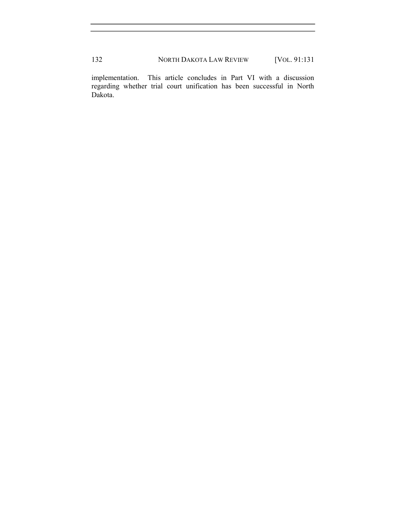implementation. This article concludes in Part VI with a discussion regarding whether trial court unification has been successful in North Dakota.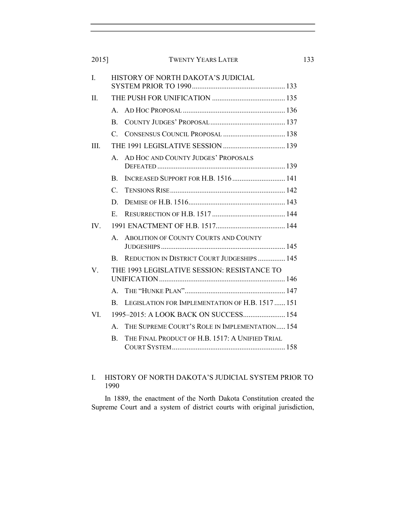| I.          | HISTORY OF NORTH DAKOTA'S JUDICIAL          |                                                    |
|-------------|---------------------------------------------|----------------------------------------------------|
| II.         |                                             |                                                    |
|             | $\mathbf{A}$                                |                                                    |
|             | $\mathbf{B}$ .                              |                                                    |
|             | $\mathcal{C}_{\cdot}$                       |                                                    |
| III.        |                                             |                                                    |
|             | $\mathbf{A}$                                | AD HOC AND COUNTY JUDGES' PROPOSALS                |
|             | $\mathbf{B}$                                | INCREASED SUPPORT FOR H.B. 1516 141                |
|             | $\mathcal{C}_{\cdot}$                       |                                                    |
|             | D.                                          |                                                    |
|             | E.                                          |                                                    |
| IV.         |                                             |                                                    |
|             | $\mathbf{A}$                                | <b>ABOLITION OF COUNTY COURTS AND COUNTY</b>       |
|             | B.                                          | <b>REDUCTION IN DISTRICT COURT JUDGESHIPS  145</b> |
| $V_{\cdot}$ | THE 1993 LEGISLATIVE SESSION: RESISTANCE TO |                                                    |
|             | $\mathbf{A}$                                |                                                    |
|             | B.                                          | LEGISLATION FOR IMPLEMENTATION OF H.B. 1517  151   |
| VL.         |                                             |                                                    |
|             | $\mathbf{A}_{\cdot}$                        | THE SUPREME COURT'S ROLE IN IMPLEMENTATION 154     |
|             | B.                                          | THE FINAL PRODUCT OF H.B. 1517: A UNIFIED TRIAL    |

# I. HISTORY OF NORTH DAKOTA'S JUDICIAL SYSTEM PRIOR TO 1990

In 1889, the enactment of the North Dakota Constitution created the Supreme Court and a system of district courts with original jurisdiction,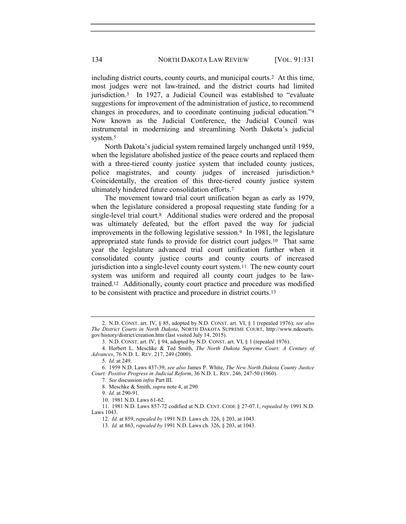including district courts, county courts, and municipal courts.2 At this time, most judges were not law-trained, and the district courts had limited jurisdiction.3 In 1927, a Judicial Council was established to "evaluate suggestions for improvement of the administration of justice, to recommend changes in procedures, and to coordinate continuing judicial education."<sup>4</sup> Now known as the Judicial Conference, the Judicial Council was instrumental in modernizing and streamlining North Dakota's judicial system.<sup>5</sup>

North Dakota's judicial system remained largely unchanged until 1959, when the legislature abolished justice of the peace courts and replaced them with a three-tiered county justice system that included county justices, police magistrates, and county judges of increased jurisdiction.<sup>6</sup> Coincidentally, the creation of this three-tiered county justice system ultimately hindered future consolidation efforts.<sup>7</sup>

The movement toward trial court unification began as early as 1979, when the legislature considered a proposal requesting state funding for a single-level trial court.8 Additional studies were ordered and the proposal was ultimately defeated, but the effort paved the way for judicial improvements in the following legislative session.9 In 1981, the legislature appropriated state funds to provide for district court judges.10 That same year the legislature advanced trial court unification further when it consolidated county justice courts and county courts of increased jurisdiction into a single-level county court system.11 The new county court system was uniform and required all county court judges to be lawtrained.12 Additionally, county court practice and procedure was modified to be consistent with practice and procedure in district courts.<sup>13</sup>

- 8. Meschke & Smith, supra note 4, at 290.
- 9. Id. at 290-91.
- 10. 1981 N.D. Laws 61-62.

<sup>2.</sup> N.D. CONST. art. IV, § 85, adopted by N.D. CONST. art. VI, § 1 (repealed 1976); see also The District Courts in North Dakota, NORTH DAKOTA SUPREME COURT, http://www.ndcourts. gov/history/district/creation.htm (last visited July 14, 2015).

<sup>3.</sup> N.D. CONST. art. IV, § 94, adopted by N.D. CONST. art. VI, § 1 (repealed 1976).

<sup>4.</sup> Herbert L. Meschke & Ted Smith, The North Dakota Supreme Court: A Century of Advances, 76 N.D. L. REV. 217, 249 (2000).

<sup>5.</sup> Id. at 249.

<sup>6. 1959</sup> N.D. Laws 437-39; see also James P. White, The New North Dakota County Justice Court: Positive Progress in Judicial Reform, 36 N.D. L. REV. 246, 247-50 (1960).

<sup>7.</sup> See discussion infra Part III.

<sup>11. 1981</sup> N.D. Laws 857-72 codified at N.D. CENT. CODE § 27-07.1, repealed by 1991 N.D. Laws 1043.

<sup>12.</sup> Id. at 859, repealed by 1991 N.D. Laws ch. 326, § 203, at 1043.

<sup>13.</sup> Id. at 863, repealed by 1991 N.D. Laws ch. 326, § 203, at 1043.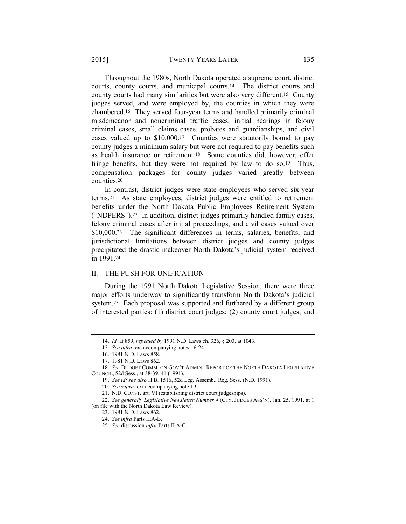Throughout the 1980s, North Dakota operated a supreme court, district courts, county courts, and municipal courts.14 The district courts and county courts had many similarities but were also very different.15 County judges served, and were employed by, the counties in which they were chambered.16 They served four-year terms and handled primarily criminal misdemeanor and noncriminal traffic cases, initial hearings in felony criminal cases, small claims cases, probates and guardianships, and civil cases valued up to \$10,000.17 Counties were statutorily bound to pay county judges a minimum salary but were not required to pay benefits such as health insurance or retirement.18 Some counties did, however, offer fringe benefits, but they were not required by law to do so.<sup>19</sup> Thus, compensation packages for county judges varied greatly between counties.<sup>20</sup>

In contrast, district judges were state employees who served six-year terms.21 As state employees, district judges were entitled to retirement benefits under the North Dakota Public Employees Retirement System ("NDPERS").22 In addition, district judges primarily handled family cases, felony criminal cases after initial proceedings, and civil cases valued over \$10,000.<sup>23</sup> The significant differences in terms, salaries, benefits, and jurisdictional limitations between district judges and county judges precipitated the drastic makeover North Dakota's judicial system received in 1991.<sup>24</sup>

# II. THE PUSH FOR UNIFICATION

During the 1991 North Dakota Legislative Session, there were three major efforts underway to significantly transform North Dakota's judicial system.25 Each proposal was supported and furthered by a different group of interested parties: (1) district court judges; (2) county court judges; and

<sup>14.</sup> Id. at 859, repealed by 1991 N.D. Laws ch. 326, § 203, at 1043.

<sup>15.</sup> See infra text accompanying notes 16-24.

<sup>16. 1981</sup> N.D. Laws 858.

<sup>17. 1981</sup> N.D. Laws 862.

<sup>18.</sup> See BUDGET COMM. ON GOV'T ADMIN., REPORT OF THE NORTH DAKOTA LEGISLATIVE COUNCIL, 52d Sess., at 38-39, 41 (1991).

<sup>19.</sup> See id; see also H.B. 1516, 52d Leg. Assemb., Reg. Sess. (N.D. 1991).

<sup>20.</sup> See supra text accompanying note 19.

<sup>21.</sup> N.D. CONST. art. VI (establishing district court judgeships).

<sup>22.</sup> See generally Legislative Newsletter Number 4 (CTY. JUDGES ASS'N), Jan. 25, 1991, at 1 (on file with the North Dakota Law Review).

<sup>23. 1981</sup> N.D. Laws 862.

<sup>24.</sup> See infra Parts II.A-B.

<sup>25.</sup> See discussion infra Parts II.A-C.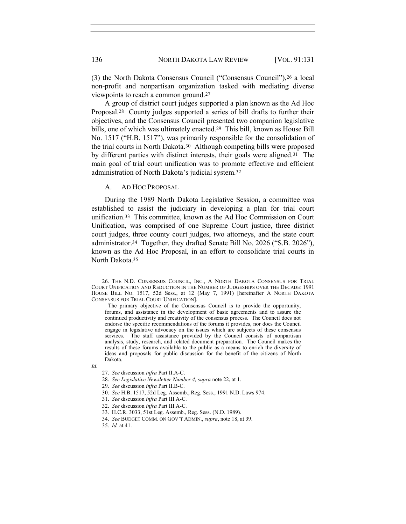(3) the North Dakota Consensus Council ("Consensus Council"),26 a local non-profit and nonpartisan organization tasked with mediating diverse viewpoints to reach a common ground.<sup>27</sup>

A group of district court judges supported a plan known as the Ad Hoc Proposal.28 County judges supported a series of bill drafts to further their objectives, and the Consensus Council presented two companion legislative bills, one of which was ultimately enacted.29 This bill, known as House Bill No. 1517 ("H.B. 1517"), was primarily responsible for the consolidation of the trial courts in North Dakota.30 Although competing bills were proposed by different parties with distinct interests, their goals were aligned.31 The main goal of trial court unification was to promote effective and efficient administration of North Dakota's judicial system.<sup>32</sup>

#### A. AD HOC PROPOSAL

During the 1989 North Dakota Legislative Session, a committee was established to assist the judiciary in developing a plan for trial court unification.33 This committee, known as the Ad Hoc Commission on Court Unification, was comprised of one Supreme Court justice, three district court judges, three county court judges, two attorneys, and the state court administrator.34 Together, they drafted Senate Bill No. 2026 ("S.B. 2026"), known as the Ad Hoc Proposal, in an effort to consolidate trial courts in North Dakota.<sup>35</sup>

Id.

- 30. See H.B. 1517, 52d Leg. Assemb., Reg. Sess., 1991 N.D. Laws 974.
- 31. See discussion infra Part III.A-C.
- 32. See discussion infra Part III.A-C.
- 33. H.C.R. 3033, 51st Leg. Assemb., Reg. Sess. (N.D. 1989).
- 34. See BUDGET COMM. ON GOV'T ADMIN., supra, note 18, at 39.

<sup>26.</sup> THE N.D. CONSENSUS COUNCIL, INC., A NORTH DAKOTA CONSENSUS FOR TRIAL COURT UNIFICATION AND REDUCTION IN THE NUMBER OF JUDGESHIPS OVER THE DECADE: 1991 HOUSE BILL NO. 1517, 52d Sess., at 12 (May 7, 1991) [hereinafter A NORTH DAKOTA CONSENSUS FOR TRIAL COURT UNIFICATION].

The primary objective of the Consensus Council is to provide the opportunity, forums, and assistance in the development of basic agreements and to assure the continued productivity and creativity of the consensus process. The Council does not endorse the specific recommendations of the forums it provides, nor does the Council engage in legislative advocacy on the issues which are subjects of these consensus services. The staff assistance provided by the Council consists of nonpartisan analysis, study, research, and related document preparation. The Council makes the results of these forums available to the public as a means to enrich the diversity of ideas and proposals for public discussion for the benefit of the citizens of North Dakota.

<sup>27.</sup> See discussion infra Part II.A-C.

<sup>28.</sup> See Legislative Newsletter Number 4, supra note 22, at 1.

<sup>29.</sup> See discussion infra Part II.B-C.

<sup>35.</sup> Id. at 41.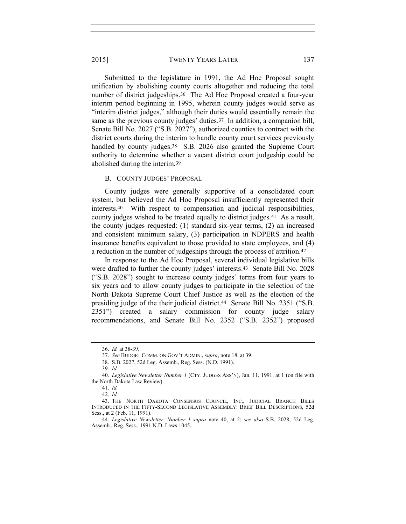Submitted to the legislature in 1991, the Ad Hoc Proposal sought unification by abolishing county courts altogether and reducing the total number of district judgeships.36 The Ad Hoc Proposal created a four-year interim period beginning in 1995, wherein county judges would serve as "interim district judges," although their duties would essentially remain the same as the previous county judges' duties.37 In addition, a companion bill, Senate Bill No. 2027 ("S.B. 2027"), authorized counties to contract with the district courts during the interim to handle county court services previously handled by county judges.<sup>38</sup> S.B. 2026 also granted the Supreme Court authority to determine whether a vacant district court judgeship could be abolished during the interim.<sup>39</sup>

## B. COUNTY JUDGES' PROPOSAL

County judges were generally supportive of a consolidated court system, but believed the Ad Hoc Proposal insufficiently represented their interests.40 With respect to compensation and judicial responsibilities, county judges wished to be treated equally to district judges.41 As a result, the county judges requested: (1) standard six-year terms, (2) an increased and consistent minimum salary, (3) participation in NDPERS and health insurance benefits equivalent to those provided to state employees, and (4) a reduction in the number of judgeships through the process of attrition.<sup>42</sup>

In response to the Ad Hoc Proposal, several individual legislative bills were drafted to further the county judges' interests.43 Senate Bill No. 2028 ("S.B. 2028") sought to increase county judges' terms from four years to six years and to allow county judges to participate in the selection of the North Dakota Supreme Court Chief Justice as well as the election of the presiding judge of the their judicial district.44 Senate Bill No. 2351 ("S.B. 2351") created a salary commission for county judge salary recommendations, and Senate Bill No. 2352 ("S.B. 2352") proposed

<sup>36.</sup> Id. at 38-39.

<sup>37.</sup> See BUDGET COMM. ON GOV'T ADMIN., supra, note 18, at 39.

<sup>38.</sup> S.B. 2027, 52d Leg. Assemb., Reg. Sess. (N.D. 1991).

<sup>39.</sup> Id.

<sup>40.</sup> Legislative Newsletter Number 1 (CTY. JUDGES ASS'N), Jan. 11, 1991, at 1 (on file with the North Dakota Law Review).

<sup>41.</sup> Id.

<sup>43.</sup> THE NORTH DAKOTA CONSENSUS COUNCIL, INC., JUDICIAL BRANCH BILLS INTRODUCED IN THE FIFTY-SECOND LEGISLATIVE ASSEMBLY: BRIEF BILL DESCRIPTIONS, 52d Sess., at 2 (Feb. 11, 1991).

<sup>44.</sup> Legislative Newsletter. Number 1 supra note 40, at 2; see also S.B. 2028, 52d Leg. Assemb., Reg. Sess., 1991 N.D. Laws 1045.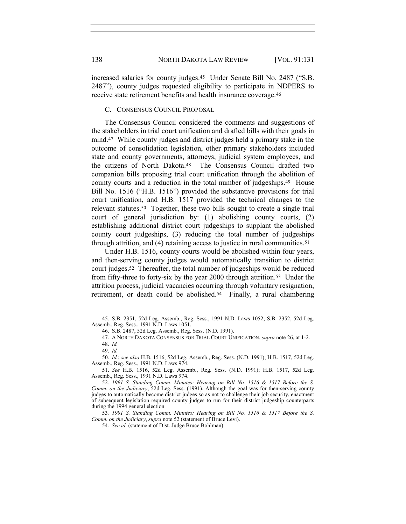increased salaries for county judges.45 Under Senate Bill No. 2487 ("S.B. 2487"), county judges requested eligibility to participate in NDPERS to receive state retirement benefits and health insurance coverage.<sup>46</sup>

C. CONSENSUS COUNCIL PROPOSAL

The Consensus Council considered the comments and suggestions of the stakeholders in trial court unification and drafted bills with their goals in mind.47 While county judges and district judges held a primary stake in the outcome of consolidation legislation, other primary stakeholders included state and county governments, attorneys, judicial system employees, and the citizens of North Dakota.48 The Consensus Council drafted two companion bills proposing trial court unification through the abolition of county courts and a reduction in the total number of judgeships.49 House Bill No. 1516 ("H.B. 1516") provided the substantive provisions for trial court unification, and H.B. 1517 provided the technical changes to the relevant statutes.50 Together, these two bills sought to create a single trial court of general jurisdiction by: (1) abolishing county courts, (2) establishing additional district court judgeships to supplant the abolished county court judgeships, (3) reducing the total number of judgeships through attrition, and (4) retaining access to justice in rural communities.<sup>51</sup>

Under H.B. 1516, county courts would be abolished within four years, and then-serving county judges would automatically transition to district court judges.52 Thereafter, the total number of judgeships would be reduced from fifty-three to forty-six by the year 2000 through attrition.53 Under the attrition process, judicial vacancies occurring through voluntary resignation, retirement, or death could be abolished.54 Finally, a rural chambering

<sup>45.</sup> S.B. 2351, 52d Leg. Assemb., Reg. Sess., 1991 N.D. Laws 1052; S.B. 2352, 52d Leg. Assemb., Reg. Sess., 1991 N.D. Laws 1051.

<sup>46.</sup> S.B. 2487, 52d Leg. Assemb., Reg. Sess. (N.D. 1991).

<sup>47.</sup> A NORTH DAKOTA CONSENSUS FOR TRIAL COURT UNIFICATION, supra note 26, at 1-2.

<sup>48.</sup> Id.

<sup>49.</sup> Id.

<sup>50.</sup> Id.; see also H.B. 1516, 52d Leg. Assemb., Reg. Sess. (N.D. 1991); H.B. 1517, 52d Leg. Assemb., Reg. Sess., 1991 N.D. Laws 974.

<sup>51.</sup> See H.B. 1516, 52d Leg. Assemb., Reg. Sess. (N.D. 1991); H.B. 1517, 52d Leg. Assemb., Reg. Sess., 1991 N.D. Laws 974.

<sup>52.</sup> 1991 S. Standing Comm. Minutes: Hearing on Bill No. 1516 & 1517 Before the S. Comm. on the Judiciary, 52d Leg. Sess. (1991). Although the goal was for then-serving county judges to automatically become district judges so as not to challenge their job security, enactment of subsequent legislation required county judges to run for their district judgeship counterparts during the 1994 general election.

<sup>53</sup>. 1991 S. Standing Comm. Minutes: Hearing on Bill No. 1516 & 1517 Before the S. Comm. on the Judiciary, supra note 52 (statement of Bruce Levi).

<sup>54.</sup> See id. (statement of Dist. Judge Bruce Bohlman).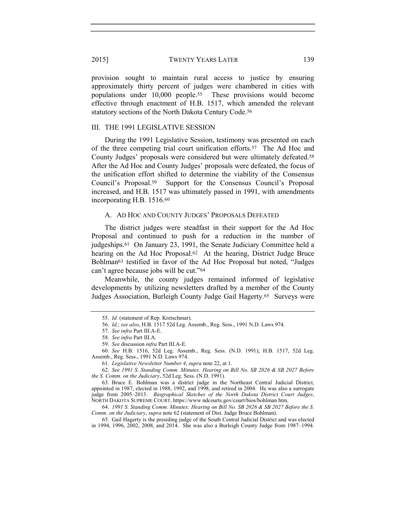provision sought to maintain rural access to justice by ensuring approximately thirty percent of judges were chambered in cities with populations under 10,000 people.55 These provisions would become effective through enactment of H.B. 1517, which amended the relevant statutory sections of the North Dakota Century Code.<sup>56</sup>

# III. THE 1991 LEGISLATIVE SESSION

During the 1991 Legislative Session, testimony was presented on each of the three competing trial court unification efforts.57 The Ad Hoc and County Judges' proposals were considered but were ultimately defeated.<sup>58</sup> After the Ad Hoc and County Judges' proposals were defeated, the focus of the unification effort shifted to determine the viability of the Consensus Council's Proposal.59 Support for the Consensus Council's Proposal increased, and H.B. 1517 was ultimately passed in 1991, with amendments incorporating H.B. 1516.<sup>60</sup>

# A. AD HOC AND COUNTY JUDGES' PROPOSALS DEFEATED

The district judges were steadfast in their support for the Ad Hoc Proposal and continued to push for a reduction in the number of judgeships.61 On January 23, 1991, the Senate Judiciary Committee held a hearing on the Ad Hoc Proposal.<sup>62</sup> At the hearing, District Judge Bruce Bohlman63 testified in favor of the Ad Hoc Proposal but noted, "Judges can't agree because jobs will be cut."<sup>64</sup>

Meanwhile, the county judges remained informed of legislative developments by utilizing newsletters drafted by a member of the County Judges Association, Burleigh County Judge Gail Hagerty.65 Surveys were

<sup>55.</sup> Id. (statement of Rep. Kretschmar).

<sup>56.</sup> Id.; see also, H.B. 1517 52d Leg. Assemb., Reg. Sess., 1991 N.D. Laws 974.

<sup>57.</sup> See infra Part III.A-E.

<sup>58.</sup> See infra Part III.A.

<sup>59.</sup> See discussion infra Part III.A-E.

<sup>60.</sup> See H.B. 1516, 52d Leg. Assemb., Reg. Sess. (N.D. 1991); H.B. 1517, 52d Leg. Assemb., Reg. Sess., 1991 N.D. Laws 974.

<sup>61.</sup> Legislative Newsletter Number 4, supra note 22, at 1.

<sup>62.</sup> See 1991 S. Standing Comm. Minutes: Hearing on Bill No. SB 2026 & SB 2027 Before the S. Comm. on the Judiciary, 52d Leg. Sess. (N.D. 1991).

<sup>63.</sup> Bruce E. Bohlman was a district judge in the Northeast Central Judicial District, appointed in 1987, elected in 1988, 1992, and 1998, and retired in 2004. He was also a surrogate judge from 2005–2013. Biographical Sketches of the North Dakota District Court Judges, NORTH DAKOTA SUPREME COURT, https://www ndcourts.gov/court/bios/bohlman htm.

<sup>64.</sup> 1991 S. Standing Comm. Minutes: Hearing on Bill No. SB 2026 & SB 2027 Before the S. Comm. on the Judiciary, supra note 62 (statement of Dist. Judge Bruce Bohlman).

<sup>65.</sup> Gail Hagerty is the presiding judge of the South Central Judicial District and was elected in 1994, 1996, 2002, 2008, and 2014. She was also a Burleigh County Judge from 1987–1994.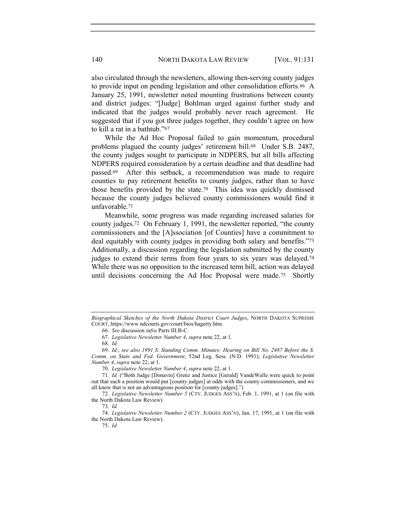also circulated through the newsletters, allowing then-serving county judges to provide input on pending legislation and other consolidation efforts.66 A January 25, 1991, newsletter noted mounting frustrations between county and district judges: "[Judge] Bohlman urged against further study and indicated that the judges would probably never reach agreement. He suggested that if you got three judges together, they couldn't agree on how to kill a rat in a bathtub."<sup>67</sup>

While the Ad Hoc Proposal failed to gain momentum, procedural problems plagued the county judges' retirement bill.68 Under S.B. 2487, the county judges sought to participate in NDPERS, but all bills affecting NDPERS required consideration by a certain deadline and that deadline had passed.69 After this setback, a recommendation was made to require counties to pay retirement benefits to county judges, rather than to have those benefits provided by the state.70 This idea was quickly dismissed because the county judges believed county commissioners would find it unfavorable.<sup>71</sup>

Meanwhile, some progress was made regarding increased salaries for county judges.72 On February 1, 1991, the newsletter reported, "the county commissioners and the [A]ssociation [of Counties] have a commitment to deal equitably with county judges in providing both salary and benefits."<sup>73</sup> Additionally, a discussion regarding the legislation submitted by the county judges to extend their terms from four years to six years was delayed.<sup>74</sup> While there was no opposition to the increased term bill, action was delayed until decisions concerning the Ad Hoc Proposal were made.75 Shortly

Biographical Sketches of the North Dakota District Court Judges, NORTH DAKOTA SUPREME COURT, https://www ndcourts.gov/court/bios/hagerty.htm.

<sup>66.</sup> See discussion infra Parts III.B-C.

<sup>67.</sup> Legislative Newsletter Number 4, supra note 22, at 1.

<sup>68.</sup> Id.

<sup>69.</sup> Id.; see also 1991 S. Standing Comm. Minutes: Hearing on Bill No. 2487 Before the S. Comm. on State and Fed. Government, 52nd Leg. Sess. (N.D. 1991); Legislative Newsletter Number 4, supra note 22, at 1.

<sup>70.</sup> Legislative Newsletter Number 4, supra note 22, at 1.

<sup>71.</sup> Id. ("Both Judge [Donavin] Grenz and Justice [Gerald] VandeWalle were quick to point out that such a position would put [county judges] at odds with the county commissioners, and we all know that is not an advantageous position for [county judges].")

<sup>72.</sup> Legislative Newsletter Number 5 (CTY. JUDGES ASS'N), Feb. 1, 1991, at 1 (on file with the North Dakota Law Review).

<sup>73.</sup> Id.

<sup>74.</sup> Legislative Newsletter Number 2 (CTY. JUDGES ASS'N), Jan. 17, 1991, at 1 (on file with the North Dakota Law Review).

<sup>75.</sup> Id.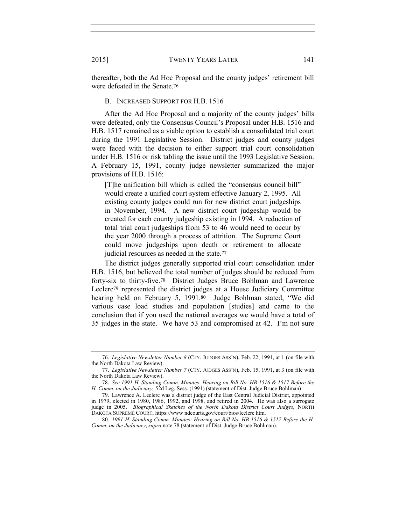thereafter, both the Ad Hoc Proposal and the county judges' retirement bill were defeated in the Senate.<sup>76</sup>

#### B. INCREASED SUPPORT FOR H.B. 1516

After the Ad Hoc Proposal and a majority of the county judges' bills were defeated, only the Consensus Council's Proposal under H.B. 1516 and H.B. 1517 remained as a viable option to establish a consolidated trial court during the 1991 Legislative Session. District judges and county judges were faced with the decision to either support trial court consolidation under H.B. 1516 or risk tabling the issue until the 1993 Legislative Session. A February 15, 1991, county judge newsletter summarized the major provisions of H.B. 1516:

[T]he unification bill which is called the "consensus council bill" would create a unified court system effective January 2, 1995. All existing county judges could run for new district court judgeships in November, 1994. A new district court judgeship would be created for each county judgeship existing in 1994. A reduction of total trial court judgeships from 53 to 46 would need to occur by the year 2000 through a process of attrition. The Supreme Court could move judgeships upon death or retirement to allocate judicial resources as needed in the state.<sup>77</sup>

The district judges generally supported trial court consolidation under H.B. 1516, but believed the total number of judges should be reduced from forty-six to thirty-five.78 District Judges Bruce Bohlman and Lawrence Leclerc79 represented the district judges at a House Judiciary Committee hearing held on February 5, 1991.80 Judge Bohlman stated, "We did various case load studies and population [studies] and came to the conclusion that if you used the national averages we would have a total of 35 judges in the state. We have 53 and compromised at 42. I'm not sure

<sup>76.</sup> Legislative Newsletter Number 8 (CTY. JUDGES ASS'N), Feb. 22, 1991, at 1 (on file with the North Dakota Law Review).

<sup>77.</sup> Legislative Newsletter Number 7 (CTY. JUDGES ASS'N), Feb. 15, 1991, at 3 (on file with the North Dakota Law Review).

<sup>78.</sup> See 1991 H. Standing Comm. Minutes: Hearing on Bill No. HB 1516 & 1517 Before the H. Comm. on the Judiciary, 52d Leg. Sess. (1991) (statement of Dist. Judge Bruce Bohlman)

<sup>79.</sup> Lawrence A. Leclerc was a district judge of the East Central Judicial District, appointed in 1979, elected in 1980, 1986, 1992, and 1998, and retired in 2004. He was also a surrogate judge in 2005. Biographical Sketches of the North Dakota District Court Judges, NORTH DAKOTA SUPREME COURT, https://www ndcourts.gov/court/bios/leclerc htm.

<sup>80.</sup> 1991 H. Standing Comm. Minutes: Hearing on Bill No. HB 1516 & 1517 Before the H. Comm. on the Judiciary, supra note 78 (statement of Dist. Judge Bruce Bohlman).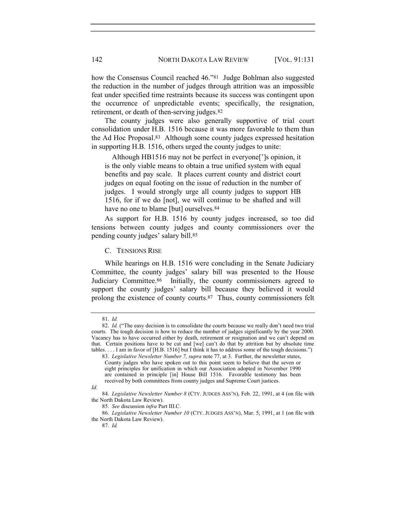how the Consensus Council reached 46."81 Judge Bohlman also suggested the reduction in the number of judges through attrition was an impossible feat under specified time restraints because its success was contingent upon the occurrence of unpredictable events; specifically, the resignation, retirement, or death of then-serving judges.<sup>82</sup>

The county judges were also generally supportive of trial court consolidation under H.B. 1516 because it was more favorable to them than the Ad Hoc Proposal.83 Although some county judges expressed hesitation in supporting H.B. 1516, others urged the county judges to unite:

 Although HB1516 may not be perfect in everyone[']s opinion, it is the only viable means to obtain a true unified system with equal benefits and pay scale. It places current county and district court judges on equal footing on the issue of reduction in the number of judges. I would strongly urge all county judges to support HB 1516, for if we do [not], we will continue to be shafted and will have no one to blame [but] ourselves.<sup>84</sup>

As support for H.B. 1516 by county judges increased, so too did tensions between county judges and county commissioners over the pending county judges' salary bill.<sup>85</sup>

C. TENSIONS RISE

While hearings on H.B. 1516 were concluding in the Senate Judiciary Committee, the county judges' salary bill was presented to the House Judiciary Committee.86 Initially, the county commissioners agreed to support the county judges' salary bill because they believed it would prolong the existence of county courts.87 Thus, county commissioners felt

Id.

<sup>81.</sup> Id.

<sup>82.</sup> Id. ("The easy decision is to consolidate the courts because we really don't need two trial courts. The tough decision is how to reduce the number of judges significantly by the year 2000. Vacancy has to have occurred either by death, retirement or resignation and we can't depend on that. Certain positions have to be cut and [we] can't do that by attrition but by absolute time tables. . . . I am in favor of [H.B. 1516] but I think it has to address some of the tough decisions.")

<sup>83.</sup> Legislative Newsletter Number 7, supra note 77, at 3. Further, the newsletter states, County judges who have spoken out to this point seem to believe that the seven or eight principles for unification in which our Association adopted in November 1990 are contained in principle [in] House Bill 1516. Favorable testimony has been received by both committees from county judges and Supreme Court justices.

<sup>84.</sup> Legislative Newsletter Number 8 (CTY. JUDGES ASS'N), Feb. 22, 1991, at 4 (on file with the North Dakota Law Review).

<sup>85.</sup> See discussion infra Part III.C.

<sup>86.</sup> Legislative Newsletter Number 10 (CTY. JUDGES ASS'N), Mar. 5, 1991, at 1 (on file with the North Dakota Law Review).

<sup>87.</sup> Id.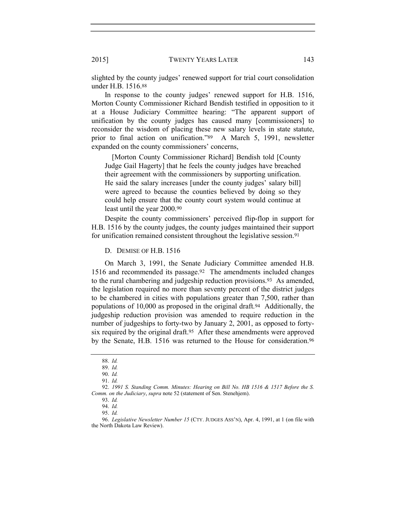slighted by the county judges' renewed support for trial court consolidation under H.B. 1516.<sup>88</sup>

In response to the county judges' renewed support for H.B. 1516, Morton County Commissioner Richard Bendish testified in opposition to it at a House Judiciary Committee hearing: "The apparent support of unification by the county judges has caused many [commissioners] to reconsider the wisdom of placing these new salary levels in state statute, prior to final action on unification."89 A March 5, 1991, newsletter expanded on the county commissioners' concerns,

 [Morton County Commissioner Richard] Bendish told [County Judge Gail Hagerty] that he feels the county judges have breached their agreement with the commissioners by supporting unification. He said the salary increases [under the county judges' salary bill] were agreed to because the counties believed by doing so they could help ensure that the county court system would continue at least until the year 2000.<sup>90</sup>

Despite the county commissioners' perceived flip-flop in support for H.B. 1516 by the county judges, the county judges maintained their support for unification remained consistent throughout the legislative session.<sup>91</sup>

D. DEMISE OF H.B. 1516

On March 3, 1991, the Senate Judiciary Committee amended H.B. 1516 and recommended its passage.92 The amendments included changes to the rural chambering and judgeship reduction provisions.93 As amended, the legislation required no more than seventy percent of the district judges to be chambered in cities with populations greater than 7,500, rather than populations of 10,000 as proposed in the original draft.94 Additionally, the judgeship reduction provision was amended to require reduction in the number of judgeships to forty-two by January 2, 2001, as opposed to fortysix required by the original draft.<sup>95</sup> After these amendments were approved by the Senate, H.B. 1516 was returned to the House for consideration.<sup>96</sup>

<sup>88.</sup> Id.

<sup>89.</sup> Id.

<sup>90.</sup> Id.

<sup>91.</sup> Id.

<sup>92.</sup> 1991 S. Standing Comm. Minutes: Hearing on Bill No. HB 1516 & 1517 Before the S. Comm. on the Judiciary, supra note 52 (statement of Sen. Stenehjem).

<sup>93.</sup> Id.

<sup>94.</sup> Id.

<sup>95.</sup> Id.

<sup>96.</sup> Legislative Newsletter Number 15 (CTY. JUDGES ASS'N), Apr. 4, 1991, at 1 (on file with the North Dakota Law Review).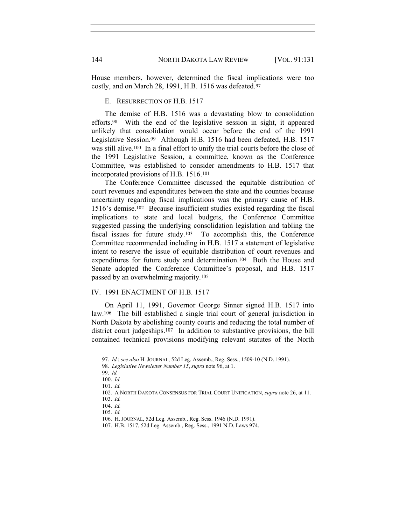House members, however, determined the fiscal implications were too costly, and on March 28, 1991, H.B. 1516 was defeated.<sup>97</sup>

E. RESURRECTION OF H.B. 1517

The demise of H.B. 1516 was a devastating blow to consolidation efforts.98 With the end of the legislative session in sight, it appeared unlikely that consolidation would occur before the end of the 1991 Legislative Session.99 Although H.B. 1516 had been defeated, H.B. 1517 was still alive.100 In a final effort to unify the trial courts before the close of the 1991 Legislative Session, a committee, known as the Conference Committee, was established to consider amendments to H.B. 1517 that incorporated provisions of H.B. 1516.<sup>101</sup>

The Conference Committee discussed the equitable distribution of court revenues and expenditures between the state and the counties because uncertainty regarding fiscal implications was the primary cause of H.B. 1516's demise.102 Because insufficient studies existed regarding the fiscal implications to state and local budgets, the Conference Committee suggested passing the underlying consolidation legislation and tabling the fiscal issues for future study.103 To accomplish this, the Conference Committee recommended including in H.B. 1517 a statement of legislative intent to reserve the issue of equitable distribution of court revenues and expenditures for future study and determination.104 Both the House and Senate adopted the Conference Committee's proposal, and H.B. 1517 passed by an overwhelming majority.<sup>105</sup>

#### IV. 1991 ENACTMENT OF H.B. 1517

On April 11, 1991, Governor George Sinner signed H.B. 1517 into law.106 The bill established a single trial court of general jurisdiction in North Dakota by abolishing county courts and reducing the total number of district court judgeships.107 In addition to substantive provisions, the bill contained technical provisions modifying relevant statutes of the North

<sup>97.</sup> Id.; see also H. JOURNAL, 52d Leg. Assemb., Reg. Sess., 1509-10 (N.D. 1991).

<sup>98.</sup> Legislative Newsletter Number 15, supra note 96, at 1.

<sup>99.</sup> Id.

<sup>100.</sup> Id.

<sup>101.</sup> Id.

<sup>102.</sup> A NORTH DAKOTA CONSENSUS FOR TRIAL COURT UNIFICATION, supra note 26, at 11.

<sup>103.</sup> Id.

<sup>104.</sup> Id.

<sup>105.</sup> Id.

<sup>106.</sup> H. JOURNAL, 52d Leg. Assemb., Reg. Sess. 1946 (N.D. 1991).

<sup>107.</sup> H.B. 1517, 52d Leg. Assemb., Reg. Sess., 1991 N.D. Laws 974.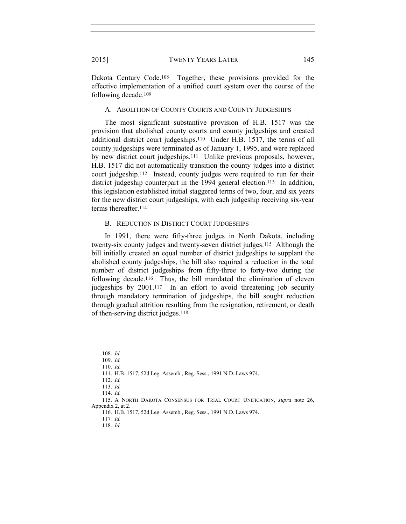Dakota Century Code.<sup>108</sup> Together, these provisions provided for the effective implementation of a unified court system over the course of the following decade.<sup>109</sup>

## A. ABOLITION OF COUNTY COURTS AND COUNTY JUDGESHIPS

The most significant substantive provision of H.B. 1517 was the provision that abolished county courts and county judgeships and created additional district court judgeships.110 Under H.B. 1517, the terms of all county judgeships were terminated as of January 1, 1995, and were replaced by new district court judgeships.111 Unlike previous proposals, however, H.B. 1517 did not automatically transition the county judges into a district court judgeship.112 Instead, county judges were required to run for their district judgeship counterpart in the 1994 general election.<sup>113</sup> In addition, this legislation established initial staggered terms of two, four, and six years for the new district court judgeships, with each judgeship receiving six-year terms thereafter.<sup>114</sup>

## B. REDUCTION IN DISTRICT COURT JUDGESHIPS

In 1991, there were fifty-three judges in North Dakota, including twenty-six county judges and twenty-seven district judges.115 Although the bill initially created an equal number of district judgeships to supplant the abolished county judgeships, the bill also required a reduction in the total number of district judgeships from fifty-three to forty-two during the following decade.116 Thus, the bill mandated the elimination of eleven judgeships by 2001.117 In an effort to avoid threatening job security through mandatory termination of judgeships, the bill sought reduction through gradual attrition resulting from the resignation, retirement, or death of then-serving district judges.<sup>118</sup>

<sup>108.</sup> Id.

<sup>109.</sup> Id.

<sup>110.</sup> Id.

<sup>111.</sup> H.B. 1517, 52d Leg. Assemb., Reg. Sess., 1991 N.D. Laws 974.

<sup>112.</sup> Id.

<sup>113.</sup> Id.

<sup>114.</sup> Id.

<sup>115.</sup> A NORTH DAKOTA CONSENSUS FOR TRIAL COURT UNIFICATION, supra note 26, Appendix 2, at 2.

<sup>116.</sup> H.B. 1517, 52d Leg. Assemb., Reg. Sess., 1991 N.D. Laws 974.

<sup>117</sup>. Id.

<sup>118.</sup> Id.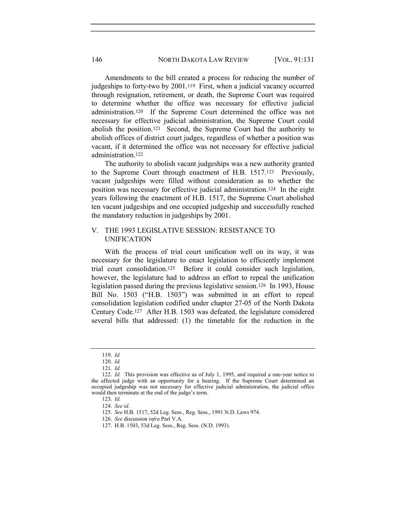Amendments to the bill created a process for reducing the number of judgeships to forty-two by 2001.119 First, when a judicial vacancy occurred through resignation, retirement, or death, the Supreme Court was required to determine whether the office was necessary for effective judicial administration.120 If the Supreme Court determined the office was not necessary for effective judicial administration, the Supreme Court could abolish the position.121 Second, the Supreme Court had the authority to abolish offices of district court judges, regardless of whether a position was vacant, if it determined the office was not necessary for effective judicial administration.<sup>122</sup>

The authority to abolish vacant judgeships was a new authority granted to the Supreme Court through enactment of H.B. 1517.123 Previously, vacant judgeships were filled without consideration as to whether the position was necessary for effective judicial administration.124 In the eight years following the enactment of H.B. 1517, the Supreme Court abolished ten vacant judgeships and one occupied judgeship and successfully reached the mandatory reduction in judgeships by 2001.

## V. THE 1993 LEGISLATIVE SESSION: RESISTANCE TO UNIFICATION

With the process of trial court unification well on its way, it was necessary for the legislature to enact legislation to efficiently implement trial court consolidation.125 Before it could consider such legislation, however, the legislature had to address an effort to repeal the unification legislation passed during the previous legislative session.126 In 1993, House Bill No. 1503 ("H.B. 1503") was submitted in an effort to repeal consolidation legislation codified under chapter 27-05 of the North Dakota Century Code.127 After H.B. 1503 was defeated, the legislature considered several bills that addressed: (1) the timetable for the reduction in the

<sup>119.</sup> Id.

<sup>120.</sup> Id.

<sup>121.</sup> Id.

<sup>122.</sup> Id. This provision was effective as of July 1, 1995, and required a one-year notice to the affected judge with an opportunity for a hearing. If the Supreme Court determined an occupied judgeship was not necessary for effective judicial administration, the judicial office would then terminate at the end of the judge's term.

<sup>123.</sup> Id.

<sup>124.</sup> See id.

<sup>125.</sup> See H.B. 1517, 52d Leg. Sess., Reg. Sess., 1991 N.D. Laws 974.

<sup>126.</sup> See discussion infra Part V.A.

<sup>127.</sup> H.B. 1503, 53d Leg. Sess., Reg. Sess. (N.D. 1993).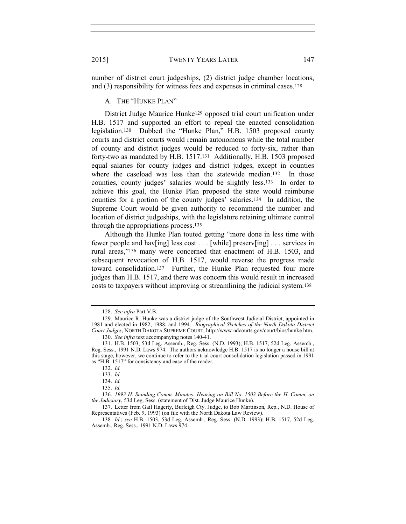number of district court judgeships, (2) district judge chamber locations, and (3) responsibility for witness fees and expenses in criminal cases.<sup>128</sup>

A. THE "HUNKE PLAN"

District Judge Maurice Hunke129 opposed trial court unification under H.B. 1517 and supported an effort to repeal the enacted consolidation legislation.130 Dubbed the "Hunke Plan," H.B. 1503 proposed county courts and district courts would remain autonomous while the total number of county and district judges would be reduced to forty-six, rather than forty-two as mandated by H.B. 1517.131 Additionally, H.B. 1503 proposed equal salaries for county judges and district judges, except in counties where the caseload was less than the statewide median.<sup>132</sup> In those counties, county judges' salaries would be slightly less.133 In order to achieve this goal, the Hunke Plan proposed the state would reimburse counties for a portion of the county judges' salaries.134 In addition, the Supreme Court would be given authority to recommend the number and location of district judgeships, with the legislature retaining ultimate control through the appropriations process.<sup>135</sup>

Although the Hunke Plan touted getting "more done in less time with fewer people and hav[ing] less cost . . . [while] preserv[ing] . . . services in rural areas,"136 many were concerned that enactment of H.B. 1503, and subsequent revocation of H.B. 1517, would reverse the progress made toward consolidation.137 Further, the Hunke Plan requested four more judges than H.B. 1517, and there was concern this would result in increased costs to taxpayers without improving or streamlining the judicial system.<sup>138</sup>

<sup>128.</sup> See infra Part V.B.

<sup>129.</sup> Maurice R. Hunke was a district judge of the Southwest Judicial District, appointed in 1981 and elected in 1982, 1988, and 1994. Biographical Sketches of the North Dakota District Court Judges, NORTH DAKOTA SUPREME COURT, http://www ndcourts.gov/court/bios/hunke htm.

<sup>130.</sup> See infra text accompanying notes 140-41.

<sup>131.</sup> H.B. 1503, 53d Leg. Assemb., Reg. Sess. (N.D. 1993); H.B. 1517, 52d Leg. Assemb., Reg. Sess., 1991 N.D. Laws 974. The authors acknowledge H.B. 1517 is no longer a house bill at this stage, however, we continue to refer to the trial court consolidation legislation passed in 1991 as "H.B. 1517" for consistency and ease of the reader.

<sup>133.</sup> Id.

<sup>134.</sup> Id.

<sup>135.</sup> Id.

<sup>136.</sup> 1993 H. Standing Comm. Minutes: Hearing on Bill No. 1503 Before the H. Comm. on the Judiciary, 53d Leg. Sess. (statement of Dist. Judge Maurice Hunke).

<sup>137.</sup> Letter from Gail Hagerty, Burleigh Cty. Judge, to Bob Martinson, Rep., N.D. House of Representatives (Feb. 9, 1993) (on file with the North Dakota Law Review).

<sup>138.</sup> Id.; see H.B. 1503, 53d Leg. Assemb., Reg. Sess. (N.D. 1993); H.B. 1517, 52d Leg. Assemb., Reg. Sess., 1991 N.D. Laws 974.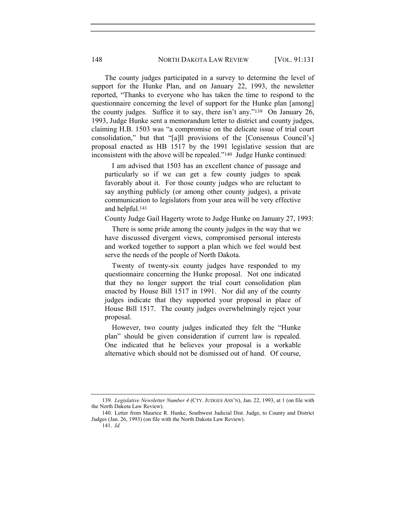The county judges participated in a survey to determine the level of support for the Hunke Plan, and on January 22, 1993, the newsletter reported, "Thanks to everyone who has taken the time to respond to the questionnaire concerning the level of support for the Hunke plan [among] the county judges. Suffice it to say, there isn't any."139 On January 26, 1993, Judge Hunke sent a memorandum letter to district and county judges, claiming H.B. 1503 was "a compromise on the delicate issue of trial court consolidation," but that "[a]ll provisions of the [Consensus Council's] proposal enacted as HB 1517 by the 1991 legislative session that are inconsistent with the above will be repealed."140 Judge Hunke continued:

 I am advised that 1503 has an excellent chance of passage and particularly so if we can get a few county judges to speak favorably about it. For those county judges who are reluctant to say anything publicly (or among other county judges), a private communication to legislators from your area will be very effective and helpful.<sup>141</sup>

County Judge Gail Hagerty wrote to Judge Hunke on January 27, 1993:

 There is some pride among the county judges in the way that we have discussed divergent views, compromised personal interests and worked together to support a plan which we feel would best serve the needs of the people of North Dakota.

 Twenty of twenty-six county judges have responded to my questionnaire concerning the Hunke proposal. Not one indicated that they no longer support the trial court consolidation plan enacted by House Bill 1517 in 1991. Nor did any of the county judges indicate that they supported your proposal in place of House Bill 1517. The county judges overwhelmingly reject your proposal.

 However, two county judges indicated they felt the "Hunke plan" should be given consideration if current law is repealed. One indicated that he believes your proposal is a workable alternative which should not be dismissed out of hand. Of course,

<sup>139.</sup> Legislative Newsletter Number 4 (CTY. JUDGES ASS'N), Jan. 22, 1993, at 1 (on file with the North Dakota Law Review).

<sup>140.</sup> Letter from Maurice R. Hunke, Southwest Judicial Dist. Judge, to County and District Judges (Jan. 26, 1993) (on file with the North Dakota Law Review).

<sup>141.</sup> Id.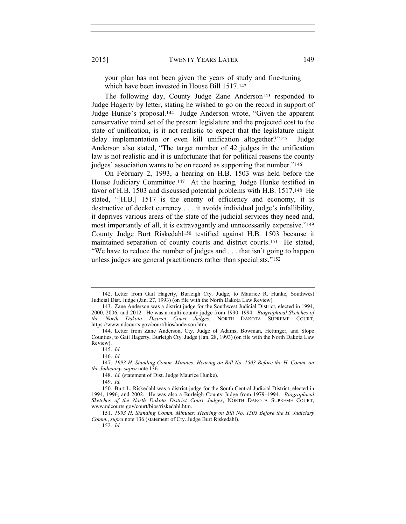your plan has not been given the years of study and fine-tuning which have been invested in House Bill 1517.<sup>142</sup>

The following day, County Judge Zane Anderson<sup>143</sup> responded to Judge Hagerty by letter, stating he wished to go on the record in support of Judge Hunke's proposal.144 Judge Anderson wrote, "Given the apparent conservative mind set of the present legislature and the projected cost to the state of unification, is it not realistic to expect that the legislature might delay implementation or even kill unification altogether?"<sup>145</sup> Judge Anderson also stated, "The target number of 42 judges in the unification law is not realistic and it is unfortunate that for political reasons the county judges' association wants to be on record as supporting that number."<sup>146</sup>

On February 2, 1993, a hearing on H.B. 1503 was held before the House Judiciary Committee.147 At the hearing, Judge Hunke testified in favor of H.B. 1503 and discussed potential problems with H.B. 1517.148 He stated, "[H.B.] 1517 is the enemy of efficiency and economy, it is destructive of docket currency . . . it avoids individual judge's infallibility, it deprives various areas of the state of the judicial services they need and, most importantly of all, it is extravagantly and unnecessarily expensive."<sup>149</sup> County Judge Burt Riskedahl150 testified against H.B. 1503 because it maintained separation of county courts and district courts.151 He stated, "We have to reduce the number of judges and . . . that isn't going to happen unless judges are general practitioners rather than specialists."<sup>152</sup>

<sup>142.</sup> Letter from Gail Hagerty, Burleigh Cty. Judge, to Maurice R. Hunke, Southwest Judicial Dist. Judge (Jan. 27, 1993) (on file with the North Dakota Law Review).

<sup>143.</sup> Zane Anderson was a district judge for the Southwest Judicial District, elected in 1994, 2000, 2006, and 2012. He was a multi-county judge from 1990–1994. Biographical Sketches of the North Dakota District Court Judges, NORTH DAKOTA SUPREME COURT, https://www ndcourts.gov/court/bios/anderson htm.

<sup>144.</sup> Letter from Zane Anderson, Cty. Judge of Adams, Bowman, Hettinger, and Slope Counties, to Gail Hagerty, Burleigh Cty. Judge (Jan. 28, 1993) (on file with the North Dakota Law Review).

<sup>145.</sup> Id.

<sup>146.</sup> Id.

<sup>147.</sup> 1993 H. Standing Comm. Minutes: Hearing on Bill No. 1503 Before the H. Comm. on the Judiciary, supra note 136.

<sup>148.</sup> Id. (statement of Dist. Judge Maurice Hunke).

<sup>149.</sup> Id.

<sup>150.</sup> Burt L. Riskedahl was a district judge for the South Central Judicial District, elected in 1994, 1996, and 2002. He was also a Burleigh County Judge from 1979–1994. Biographical Sketches of the North Dakota District Court Judges, NORTH DAKOTA SUPREME COURT, www.ndcourts.gov/court/bios/riskedahl.htm.

<sup>151.</sup> 1993 H. Standing Comm. Minutes: Hearing on Bill No. 1503 Before the H. Judiciary Comm., supra note 136 (statement of Cty. Judge Burt Riskedahl).

<sup>152.</sup> Id.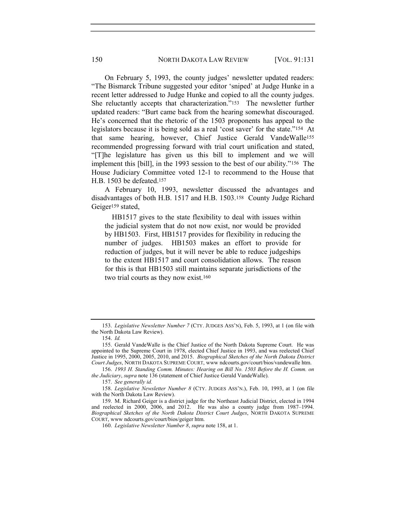On February 5, 1993, the county judges' newsletter updated readers: "The Bismarck Tribune suggested your editor 'sniped' at Judge Hunke in a recent letter addressed to Judge Hunke and copied to all the county judges. She reluctantly accepts that characterization."153 The newsletter further updated readers: "Burt came back from the hearing somewhat discouraged. He's concerned that the rhetoric of the 1503 proponents has appeal to the legislators because it is being sold as a real 'cost saver' for the state."154 At that same hearing, however, Chief Justice Gerald VandeWalle<sup>155</sup> recommended progressing forward with trial court unification and stated, "[T]he legislature has given us this bill to implement and we will implement this [bill], in the 1993 session to the best of our ability."156 The House Judiciary Committee voted 12-1 to recommend to the House that H.B. 1503 be defeated.<sup>157</sup>

A February 10, 1993, newsletter discussed the advantages and disadvantages of both H.B. 1517 and H.B. 1503.158 County Judge Richard Geiger<sup>159</sup> stated,

 HB1517 gives to the state flexibility to deal with issues within the judicial system that do not now exist, nor would be provided by HB1503. First, HB1517 provides for flexibility in reducing the number of judges. HB1503 makes an effort to provide for reduction of judges, but it will never be able to reduce judgeships to the extent HB1517 and court consolidation allows. The reason for this is that HB1503 still maintains separate jurisdictions of the two trial courts as they now exist.<sup>160</sup>

156. 1993 H. Standing Comm. Minutes: Hearing on Bill No. 1503 Before the H. Comm. on the Judiciary, supra note 136 (statement of Chief Justice Gerald VandeWalle).

157. See generally id.

158. Legislative Newsletter Number 8 (CTY. JUDGES ASS'N.), Feb. 10, 1993, at 1 (on file with the North Dakota Law Review).

<sup>153.</sup> Legislative Newsletter Number 7 (CTY. JUDGES ASS'N), Feb. 5, 1993, at 1 (on file with the North Dakota Law Review).

<sup>154.</sup> Id.

<sup>155.</sup> Gerald VandeWalle is the Chief Justice of the North Dakota Supreme Court. He was appointed to the Supreme Court in 1978, elected Chief Justice in 1993, and was reelected Chief Justice in 1995, 2000, 2005, 2010, and 2015. Biographical Sketches of the North Dakota District Court Judges, NORTH DAKOTA SUPREME COURT, www ndcourts.gov/court/bios/vandewalle htm.

<sup>159.</sup> M. Richard Geiger is a district judge for the Northeast Judicial District, elected in 1994 and reelected in 2000, 2006, and 2012. He was also a county judge from 1987–1994. Biographical Sketches of the North Dakota District Court Judges, NORTH DAKOTA SUPREME COURT, www ndcourts.gov/court/bios/geiger htm.

<sup>160.</sup> Legislative Newsletter Number 8, supra note 158, at 1.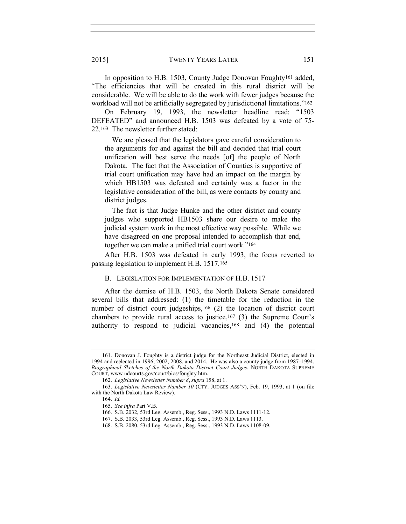In opposition to H.B. 1503, County Judge Donovan Foughty161 added, "The efficiencies that will be created in this rural district will be considerable. We will be able to do the work with fewer judges because the workload will not be artificially segregated by jurisdictional limitations."<sup>162</sup>

On February 19, 1993, the newsletter headline read: "1503 DEFEATED" and announced H.B. 1503 was defeated by a vote of 75- 22.163 The newsletter further stated:

 We are pleased that the legislators gave careful consideration to the arguments for and against the bill and decided that trial court unification will best serve the needs [of] the people of North Dakota. The fact that the Association of Counties is supportive of trial court unification may have had an impact on the margin by which HB1503 was defeated and certainly was a factor in the legislative consideration of the bill, as were contacts by county and district judges.

 The fact is that Judge Hunke and the other district and county judges who supported HB1503 share our desire to make the judicial system work in the most effective way possible. While we have disagreed on one proposal intended to accomplish that end, together we can make a unified trial court work."<sup>164</sup>

After H.B. 1503 was defeated in early 1993, the focus reverted to passing legislation to implement H.B. 1517.<sup>165</sup>

#### B. LEGISLATION FOR IMPLEMENTATION OF H.B. 1517

After the demise of H.B. 1503, the North Dakota Senate considered several bills that addressed: (1) the timetable for the reduction in the number of district court judgeships,166 (2) the location of district court chambers to provide rural access to justice,<sup>167</sup> (3) the Supreme Court's authority to respond to judicial vacancies,168 and (4) the potential

<sup>161.</sup> Donovan J. Foughty is a district judge for the Northeast Judicial District, elected in 1994 and reelected in 1996, 2002, 2008, and 2014. He was also a county judge from 1987–1994. Biographical Sketches of the North Dakota District Court Judges, NORTH DAKOTA SUPREME COURT, www ndcourts.gov/court/bios/foughty htm.

<sup>162.</sup> Legislative Newsletter Number 8, supra 158, at 1.

<sup>163.</sup> Legislative Newsletter Number 10 (CTY. JUDGES ASS'N), Feb. 19, 1993, at 1 (on file with the North Dakota Law Review).

<sup>164.</sup> Id.

<sup>165.</sup> See infra Part V.B.

<sup>166.</sup> S.B. 2032, 53rd Leg. Assemb., Reg. Sess., 1993 N.D. Laws 1111-12.

<sup>167.</sup> S.B. 2033, 53rd Leg. Assemb., Reg. Sess., 1993 N.D. Laws 1113.

<sup>168.</sup> S.B. 2080, 53rd Leg. Assemb., Reg. Sess., 1993 N.D. Laws 1108-09.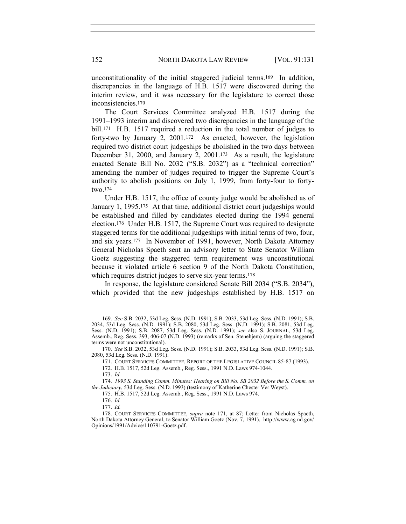unconstitutionality of the initial staggered judicial terms.169 In addition, discrepancies in the language of H.B. 1517 were discovered during the interim review, and it was necessary for the legislature to correct those inconsistencies.<sup>170</sup>

The Court Services Committee analyzed H.B. 1517 during the 1991–1993 interim and discovered two discrepancies in the language of the bill.<sup>171</sup> H.B. 1517 required a reduction in the total number of judges to forty-two by January 2, 2001.172 As enacted, however, the legislation required two district court judgeships be abolished in the two days between December 31, 2000, and January 2, 2001.173 As a result, the legislature enacted Senate Bill No. 2032 ("S.B. 2032") as a "technical correction" amending the number of judges required to trigger the Supreme Court's authority to abolish positions on July 1, 1999, from forty-four to fortytwo.<sup>174</sup>

Under H.B. 1517, the office of county judge would be abolished as of January 1, 1995.<sup>175</sup> At that time, additional district court judgeships would be established and filled by candidates elected during the 1994 general election.176 Under H.B. 1517, the Supreme Court was required to designate staggered terms for the additional judgeships with initial terms of two, four, and six years.177 In November of 1991, however, North Dakota Attorney General Nicholas Spaeth sent an advisory letter to State Senator William Goetz suggesting the staggered term requirement was unconstitutional because it violated article 6 section 9 of the North Dakota Constitution, which requires district judges to serve six-year terms.<sup>178</sup>

In response, the legislature considered Senate Bill 2034 ("S.B. 2034"), which provided that the new judgeships established by H.B. 1517 on

172. H.B. 1517, 52d Leg. Assemb., Reg. Sess., 1991 N.D. Laws 974-1044.

176. Id.

<sup>169.</sup> See S.B. 2032, 53d Leg. Sess. (N.D. 1991); S.B. 2033, 53d Leg. Sess. (N.D. 1991); S.B. 2034, 53d Leg. Sess. (N.D. 1991); S.B. 2080, 53d Leg. Sess. (N.D. 1991); S.B. 2081, 53d Leg. Sess. (N.D. 1991); S.B. 2087, 53d Leg. Sess. (N.D. 1991); see also S. JOURNAL, 53d Leg. Assemb., Reg. Sess. 393, 406-07 (N.D. 1993) (remarks of Sen. Stenehjem) (arguing the staggered terms were not unconstitutional).

<sup>170.</sup> See S.B. 2032, 53d Leg. Sess. (N.D. 1991); S.B. 2033, 53d Leg. Sess. (N.D. 1991); S.B. 2080, 53d Leg. Sess. (N.D. 1991).

<sup>171.</sup> COURT SERVICES COMMITTEE, REPORT OF THE LEGISLATIVE COUNCIL 85-87 (1993).

<sup>173.</sup> Id.

<sup>174.</sup> 1993 S. Standing Comm. Minutes: Hearing on Bill No. SB 2032 Before the S. Comm. on the Judiciary, 53d Leg. Sess. (N.D. 1993) (testimony of Katherine Chester Ver Weyst).

<sup>175.</sup> H.B. 1517, 52d Leg. Assemb., Reg. Sess., 1991 N.D. Laws 974.

<sup>178.</sup> COURT SERVICES COMMITTEE, *supra* note 171, at 87; Letter from Nicholas Spaeth, North Dakota Attorney General, to Senator William Goetz (Nov. 7, 1991), http://www.ag nd.gov/ Opinions/1991/Advice/110791-Goetz.pdf.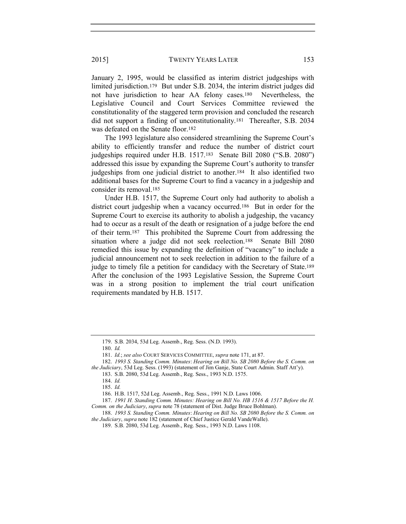January 2, 1995, would be classified as interim district judgeships with limited jurisdiction.179 But under S.B. 2034, the interim district judges did not have jurisdiction to hear AA felony cases.180 Nevertheless, the Legislative Council and Court Services Committee reviewed the constitutionality of the staggered term provision and concluded the research did not support a finding of unconstitutionality.181 Thereafter, S.B. 2034 was defeated on the Senate floor.<sup>182</sup>

The 1993 legislature also considered streamlining the Supreme Court's ability to efficiently transfer and reduce the number of district court judgeships required under H.B. 1517.183 Senate Bill 2080 ("S.B. 2080") addressed this issue by expanding the Supreme Court's authority to transfer judgeships from one judicial district to another.184 It also identified two additional bases for the Supreme Court to find a vacancy in a judgeship and consider its removal.<sup>185</sup>

Under H.B. 1517, the Supreme Court only had authority to abolish a district court judgeship when a vacancy occurred.186 But in order for the Supreme Court to exercise its authority to abolish a judgeship, the vacancy had to occur as a result of the death or resignation of a judge before the end of their term.187 This prohibited the Supreme Court from addressing the situation where a judge did not seek reelection.188 Senate Bill 2080 remedied this issue by expanding the definition of "vacancy" to include a judicial announcement not to seek reelection in addition to the failure of a judge to timely file a petition for candidacy with the Secretary of State.<sup>189</sup> After the conclusion of the 1993 Legislative Session, the Supreme Court was in a strong position to implement the trial court unification requirements mandated by H.B. 1517.

180. Id.

<sup>179.</sup> S.B. 2034, 53d Leg. Assemb., Reg. Sess. (N.D. 1993).

<sup>181.</sup> Id.; see also COURT SERVICES COMMITTEE, supra note 171, at 87.

<sup>182.</sup> 1993 S. Standing Comm. Minutes: Hearing on Bill No. SB 2080 Before the S. Comm. on the Judiciary, 53d Leg. Sess. (1993) (statement of Jim Ganje, State Court Admin. Staff Att'y).

<sup>183.</sup> S.B. 2080, 53d Leg. Assemb., Reg. Sess., 1993 N.D. 1575.

<sup>185.</sup> Id.

<sup>186.</sup> H.B. 1517, 52d Leg. Assemb., Reg. Sess., 1991 N.D. Laws 1006.

<sup>187.</sup> 1991 H. Standing Comm. Minutes: Hearing on Bill No. HB 1516 & 1517 Before the H. Comm. on the Judiciary, supra note 78 (statement of Dist. Judge Bruce Bohlman).

<sup>188.</sup> 1993 S. Standing Comm. Minutes: Hearing on Bill No. SB 2080 Before the S. Comm. on the Judiciary, supra note 182 (statement of Chief Justice Gerald VandeWalle).

<sup>189.</sup> S.B. 2080, 53d Leg. Assemb., Reg. Sess., 1993 N.D. Laws 1108.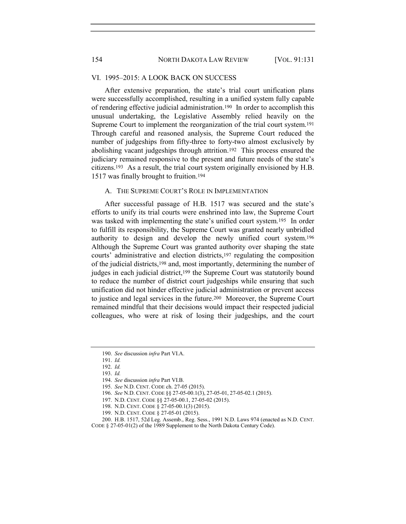#### VI. 1995–2015: A LOOK BACK ON SUCCESS

After extensive preparation, the state's trial court unification plans were successfully accomplished, resulting in a unified system fully capable of rendering effective judicial administration.190 In order to accomplish this unusual undertaking, the Legislative Assembly relied heavily on the Supreme Court to implement the reorganization of the trial court system.<sup>191</sup> Through careful and reasoned analysis, the Supreme Court reduced the number of judgeships from fifty-three to forty-two almost exclusively by abolishing vacant judgeships through attrition.192 This process ensured the judiciary remained responsive to the present and future needs of the state's citizens.193 As a result, the trial court system originally envisioned by H.B. 1517 was finally brought to fruition.<sup>194</sup>

# A. THE SUPREME COURT'S ROLE IN IMPLEMENTATION

After successful passage of H.B. 1517 was secured and the state's efforts to unify its trial courts were enshrined into law, the Supreme Court was tasked with implementing the state's unified court system.195 In order to fulfill its responsibility, the Supreme Court was granted nearly unbridled authority to design and develop the newly unified court system.<sup>196</sup> Although the Supreme Court was granted authority over shaping the state courts' administrative and election districts,197 regulating the composition of the judicial districts,198 and, most importantly, determining the number of judges in each judicial district,<sup>199</sup> the Supreme Court was statutorily bound to reduce the number of district court judgeships while ensuring that such unification did not hinder effective judicial administration or prevent access to justice and legal services in the future.200 Moreover, the Supreme Court remained mindful that their decisions would impact their respected judicial colleagues, who were at risk of losing their judgeships, and the court

- 194. See discussion infra Part VI.B.
- 195. See N.D. CENT. CODE ch. 27-05 (2015).
- 196. See N.D. CENT. CODE §§ 27-05-00.1(3), 27-05-01, 27-05-02.1 (2015).
- 197. N.D. CENT. CODE §§ 27-05-00.1, 27-05-02 (2015).
- 198. N.D. CENT. CODE § 27-05-00.1(3) (2015).
- 199. N.D. CENT. CODE § 27-05-01 (2015).

200. H.B. 1517, 52d Leg. Assemb., Reg. Sess., 1991 N.D. Laws 974 (enacted as N.D. CENT. CODE § 27-05-01(2) of the 1989 Supplement to the North Dakota Century Code).

<sup>190.</sup> See discussion infra Part VI.A.

<sup>191.</sup> Id.

<sup>192.</sup> Id.

<sup>193.</sup> Id.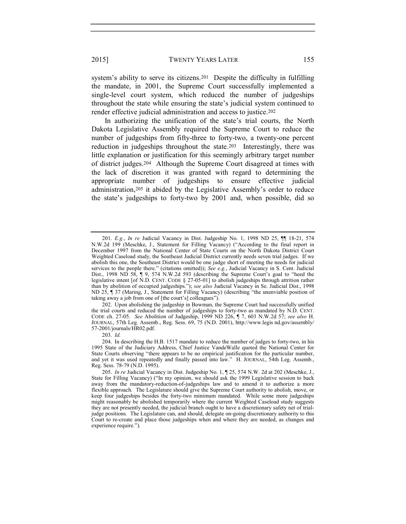system's ability to serve its citizens.<sup>201</sup> Despite the difficulty in fulfilling the mandate, in 2001, the Supreme Court successfully implemented a single-level court system, which reduced the number of judgeships throughout the state while ensuring the state's judicial system continued to render effective judicial administration and access to justice.<sup>202</sup>

In authorizing the unification of the state's trial courts, the North Dakota Legislative Assembly required the Supreme Court to reduce the number of judgeships from fifty-three to forty-two, a twenty-one percent reduction in judgeships throughout the state.203 Interestingly, there was little explanation or justification for this seemingly arbitrary target number of district judges.204 Although the Supreme Court disagreed at times with the lack of discretion it was granted with regard to determining the appropriate number of judgeships to ensure effective judicial administration,205 it abided by the Legislative Assembly's order to reduce the state's judgeships to forty-two by 2001 and, when possible, did so

202. Upon abolishing the judgeship in Bowman, the Supreme Court had successfully unified the trial courts and reduced the number of judgeships to forty-two as mandated by N.D. CENT. CODE ch. 27-05. See Abolition of Judgeship, 1999 ND 226, ¶ 7, 603 N.W.2d 57; see also H. JOURNAL, 57th Leg. Assemb., Reg. Sess. 69, 75 (N.D. 2001), http://www.legis nd.gov/assembly/ 57-2001/journals/HR02.pdf.

<sup>201.</sup> E.g., In re Judicial Vacancy in Dist. Judgeship No. 1, 1998 ND 25, <sup>[1]</sup> 18-21, 574 N.W.2d 199 (Meschke, J., Statement for Filling Vacancy) ("According to the final report in December 1997 from the National Center of State Courts on the North Dakota District Court Weighted Caseload study, the Southeast Judicial District currently needs seven trial judges. If we abolish this one, the Southeast District would be one judge short of meeting the needs for judicial services to the people there." (citations omitted)); See e.g., Judicial Vacancy in S. Cent. Judicial Dist., 1998 ND 58, ¶ 9, 574 N.W.2d 593 (describing the Supreme Court's goal to "heed the legislative intent [of N.D. CENT. CODE § 27-05-01] to abolish judgeships through attrition rather than by abolition of occupied judgeships."); see also Judicial Vacancy in Se. Judicial Dist., 1998 ND 25, ¶ 37 (Maring, J., Statement for Filling Vacancy) (describing "the unenviable position of taking away a job from one of [the court's] colleagues").

<sup>204.</sup> In describing the H.B. 1517 mandate to reduce the number of judges to forty-two, in his 1995 State of the Judiciary Address, Chief Justice VandeWalle quoted the National Center for State Courts observing "there appears to be no empirical justification for the particular number, and yet it was used repeatedly and finally passed into law." H. JOURNAL, 54th Leg. Assemb., Reg. Sess. 78-79 (N.D. 1995).

<sup>205.</sup> In re Judicial Vacancy in Dist. Judgeship No. 1, ¶ 25, 574 N.W. 2d at 202 (Meschke, J., State for Filling Vacancy) ("In my opinion, we should ask the 1999 Legislative session to back away from the mandatory-reduction-of-judgeships law and to amend it to authorize a more flexible approach. The Legislature should give the Supreme Court authority to abolish, move, or keep four judgeships besides the forty-two minimum mandated. While some more judgeships might reasonably be abolished temporarily where the current Weighted Caseload study suggests they are not presently needed, the judicial branch ought to have a discretionary safety net of trialjudge positions. The Legislature can, and should, delegate on-going discretionary authority to this Court to re-create and place those judgeships when and where they are needed, as changes and experience require.").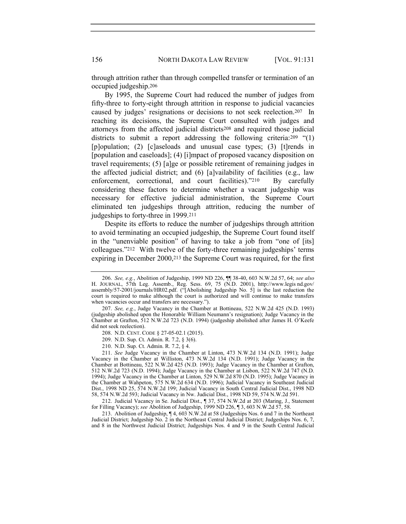through attrition rather than through compelled transfer or termination of an occupied judgeship.<sup>206</sup>

By 1995, the Supreme Court had reduced the number of judges from fifty-three to forty-eight through attrition in response to judicial vacancies caused by judges' resignations or decisions to not seek reelection.207 In reaching its decisions, the Supreme Court consulted with judges and attorneys from the affected judicial districts208 and required those judicial districts to submit a report addressing the following criteria:<sup>209</sup> "(1) [p]opulation; (2) [c]aseloads and unusual case types; (3) [t]rends in [population and caseloads]; (4) [i]mpact of proposed vacancy disposition on travel requirements; (5) [a]ge or possible retirement of remaining judges in the affected judicial district; and (6) [a]vailability of facilities (e.g., law enforcement, correctional, and court facilities)."<sup>210</sup> By carefully considering these factors to determine whether a vacant judgeship was necessary for effective judicial administration, the Supreme Court eliminated ten judgeships through attrition, reducing the number of judgeships to forty-three in 1999.<sup>211</sup>

Despite its efforts to reduce the number of judgeships through attrition to avoid terminating an occupied judgeship, the Supreme Court found itself in the "unenviable position" of having to take a job from "one of [its] colleagues."212 With twelve of the forty-three remaining judgeships' terms expiring in December 2000,213 the Supreme Court was required, for the first

- 208. N.D. CENT. CODE § 27-05-02.1 (2015).
- 209. N.D. Sup. Ct. Admin. R. 7.2, § 3(6).
- 210. N.D. Sup. Ct. Admin. R. 7.2, § 4.

211. See Judge Vacancy in the Chamber at Linton, 473 N.W.2d 134 (N.D. 1991); Judge Vacancy in the Chamber at Williston, 473 N.W.2d 134 (N.D. 1991); Judge Vacancy in the Chamber at Bottineau, 522 N.W.2d 425 (N.D. 1993); Judge Vacancy in the Chamber at Grafton, 512 N.W.2d 723 (N.D. 1994); Judge Vacancy in the Chamber at Lisbon, 522 N.W.2d 747 (N.D. 1994); Judge Vacancy in the Chamber at Linton, 529 N.W.2d 870 (N.D. 1995); Judge Vacancy in the Chamber at Wahpeton, 575 N.W.2d 634 (N.D. 1996); Judicial Vacancy in Southeast Judicial Dist., 1998 ND 25, 574 N.W.2d 199; Judicial Vacancy in South Central Judicial Dist., 1998 ND 58, 574 N.W.2d 593; Judicial Vacancy in Nw. Judicial Dist., 1998 ND 59, 574 N.W.2d 591.

212. Judicial Vacancy in Se. Judicial Dist., ¶ 37, 574 N.W.2d at 203 (Maring, J., Statement for Filling Vacancy); see Abolition of Judgeship, 1999 ND 226, ¶ 3, 603 N.W.2d 57, 58.

213. Abolition of Judgeship, ¶ 4, 603 N.W.2d at 58 (Judgeships Nos. 6 and 7 in the Northeast Judicial District; Judgeship No. 2 in the Northeast Central Judicial District; Judgeships Nos. 6, 7, and 8 in the Northwest Judicial District; Judgeships Nos. 4 and 9 in the South Central Judicial

<sup>206.</sup> See, e.g., Abolition of Judgeship, 1999 ND 226, ¶¶ 38-40, 603 N.W.2d 57, 64; see also H. JOURNAL, 57th Leg. Assemb., Reg. Sess. 69, 75 (N.D. 2001), http://www.legis nd.gov/ assembly/57-2001/journals/HR02.pdf. ("[Abolishing Judgeship No. 5] is the last reduction the court is required to make although the court is authorized and will continue to make transfers when vacancies occur and transfers are necessary.").

<sup>207.</sup> See, e.g., Judge Vacancy in the Chamber at Bottineau, 522 N.W.2d 425 (N.D. 1993) (judgeship abolished upon the Honorable William Neumann's resignation); Judge Vacancy in the Chamber at Grafton, 512 N.W.2d 723 (N.D. 1994) (judgeship abolished after James H. O'Keefe did not seek reelection).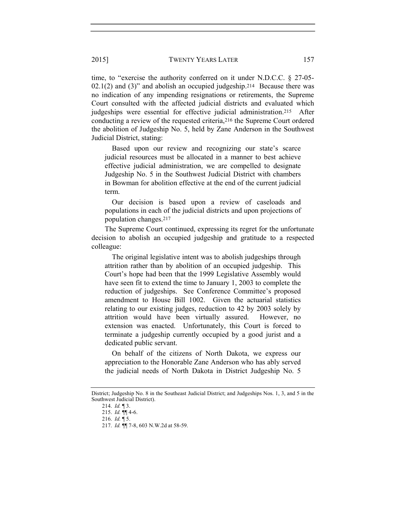time, to "exercise the authority conferred on it under N.D.C.C. § 27-05- 02.1(2) and (3)" and abolish an occupied judgeship.214 Because there was no indication of any impending resignations or retirements, the Supreme Court consulted with the affected judicial districts and evaluated which judgeships were essential for effective judicial administration.215 After conducting a review of the requested criteria,216 the Supreme Court ordered the abolition of Judgeship No. 5, held by Zane Anderson in the Southwest Judicial District, stating:

 Based upon our review and recognizing our state's scarce judicial resources must be allocated in a manner to best achieve effective judicial administration, we are compelled to designate Judgeship No. 5 in the Southwest Judicial District with chambers in Bowman for abolition effective at the end of the current judicial term.

 Our decision is based upon a review of caseloads and populations in each of the judicial districts and upon projections of population changes.<sup>217</sup>

The Supreme Court continued, expressing its regret for the unfortunate decision to abolish an occupied judgeship and gratitude to a respected colleague:

 The original legislative intent was to abolish judgeships through attrition rather than by abolition of an occupied judgeship. This Court's hope had been that the 1999 Legislative Assembly would have seen fit to extend the time to January 1, 2003 to complete the reduction of judgeships. See Conference Committee's proposed amendment to House Bill 1002. Given the actuarial statistics relating to our existing judges, reduction to 42 by 2003 solely by attrition would have been virtually assured. However, no extension was enacted. Unfortunately, this Court is forced to terminate a judgeship currently occupied by a good jurist and a dedicated public servant.

 On behalf of the citizens of North Dakota, we express our appreciation to the Honorable Zane Anderson who has ably served the judicial needs of North Dakota in District Judgeship No. 5

District; Judgeship No. 8 in the Southeast Judicial District; and Judgeships Nos. 1, 3, and 5 in the Southwest Judicial District).

<sup>214.</sup>  $Id. \P 3$ .

<sup>215.</sup> Id. ¶¶ 4-6.

<sup>216.</sup>  $Id. \P 5$ .

<sup>217.</sup> *Id.* **[14.** 7-8, 603 N.W. 2d at 58-59.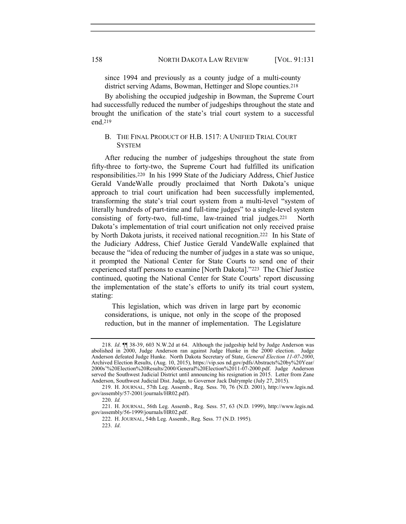since 1994 and previously as a county judge of a multi-county district serving Adams, Bowman, Hettinger and Slope counties.<sup>218</sup>

By abolishing the occupied judgeship in Bowman, the Supreme Court had successfully reduced the number of judgeships throughout the state and brought the unification of the state's trial court system to a successful end.<sup>219</sup>

#### B. THE FINAL PRODUCT OF H.B. 1517: A UNIFIED TRIAL COURT **SYSTEM**

After reducing the number of judgeships throughout the state from fifty-three to forty-two, the Supreme Court had fulfilled its unification responsibilities.220 In his 1999 State of the Judiciary Address, Chief Justice Gerald VandeWalle proudly proclaimed that North Dakota's unique approach to trial court unification had been successfully implemented, transforming the state's trial court system from a multi-level "system of literally hundreds of part-time and full-time judges" to a single-level system consisting of forty-two, full-time, law-trained trial judges.221 North Dakota's implementation of trial court unification not only received praise by North Dakota jurists, it received national recognition.222 In his State of the Judiciary Address, Chief Justice Gerald VandeWalle explained that because the "idea of reducing the number of judges in a state was so unique, it prompted the National Center for State Courts to send one of their experienced staff persons to examine [North Dakota]."223 The Chief Justice continued, quoting the National Center for State Courts' report discussing the implementation of the state's efforts to unify its trial court system, stating:

 This legislation, which was driven in large part by economic considerations, is unique, not only in the scope of the proposed reduction, but in the manner of implementation. The Legislature

<sup>218.</sup> Id. ¶¶ 38-39, 603 N.W.2d at 64. Although the judgeship held by Judge Anderson was abolished in 2000, Judge Anderson ran against Judge Hunke in the 2000 election. Judge Anderson defeated Judge Hunke. North Dakota Secretary of State, General Election 11-07-2000, Archived Election Results, (Aug. 10, 2015), https://vip.sos nd.gov/pdfs/Abstracts%20by%20Year/ 2000s'%20Election%20Results/2000/General%20Election%2011-07-2000.pdf. Judge Anderson served the Southwest Judicial District until announcing his resignation in 2015. Letter from Zane Anderson, Southwest Judicial Dist. Judge, to Governor Jack Dalrymple (July 27, 2015).

<sup>219.</sup> H. JOURNAL, 57th Leg. Assemb., Reg. Sess. 70, 76 (N.D. 2001), http://www.legis.nd. gov/assembly/57-2001/journals/HR02.pdf).

<sup>221.</sup> H. JOURNAL, 56th Leg. Assemb., Reg. Sess. 57, 63 (N.D. 1999), http://www.legis.nd. gov/assembly/56-1999/journals/HR02.pdf.

<sup>222.</sup> H. JOURNAL, 54th Leg. Assemb., Reg. Sess. 77 (N.D. 1995).

<sup>223.</sup> Id.